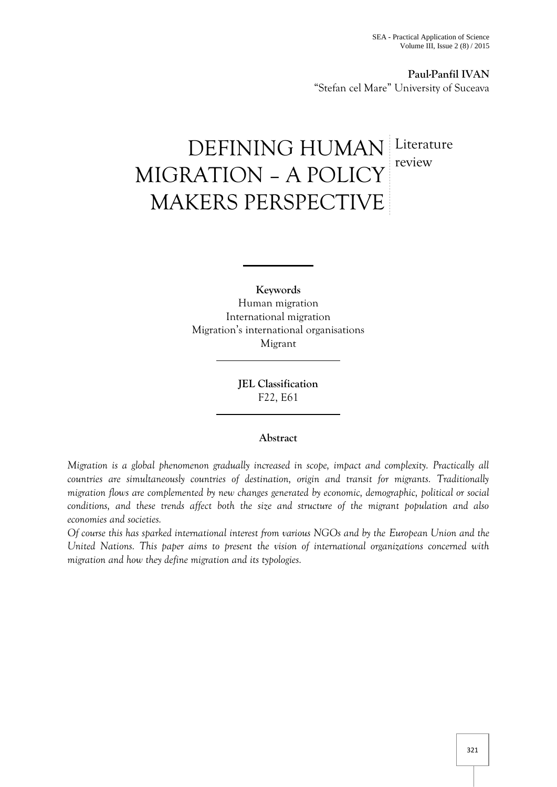**Paul-Panfil IVAN** "Stefan cel Mare" University of Suceava

# DEFINING HUMAN Literature MIGRATION – A POLICY MAKERS PERSPECTIVE **Literature** review

**Keywords** Human migration International migration Migration's international organisations Migrant

> **JEL Classification** F22, E61

# **Abstract**

*Migration is a global phenomenon gradually increased in scope, impact and complexity. Practically all countries are simultaneously countries of destination, origin and transit for migrants. Traditionally migration flows are complemented by new changes generated by economic, demographic, political or social conditions, and these trends affect both the size and structure of the migrant population and also economies and societies.*

*Of course this has sparked international interest from various NGOs and by the European Union and the United Nations. This paper aims to present the vision of international organizations concerned with migration and how they define migration and its typologies.*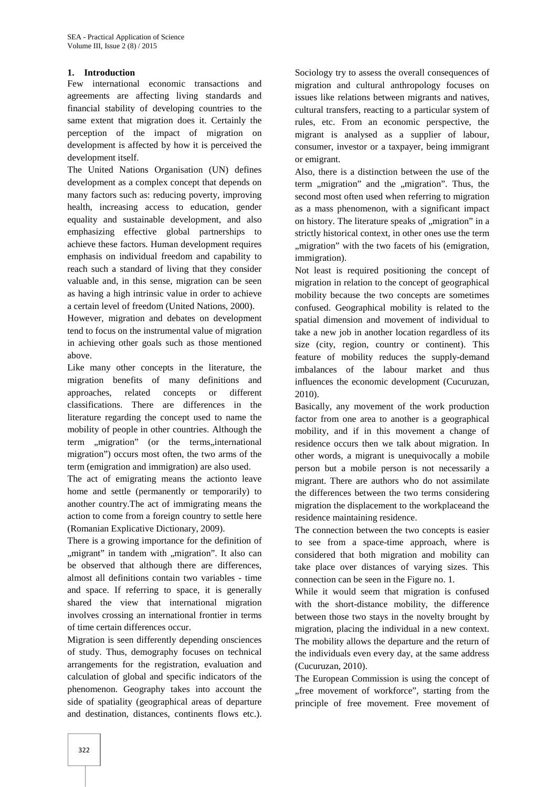### **1. Introduction**

Few international economic transactions and agreements are affecting living standards and financial stability of developing countries to the same extent that migration does it. Certainly the perception of the impact of migration on development is affected by how it is perceived the development itself.

The United Nations Organisation (UN) defines development as a complex concept that depends on many factors such as: reducing poverty, improving health, increasing access to education, gender equality and sustainable development, and also emphasizing effective global partnerships to achieve these factors. Human development requires emphasis on individual freedom and capability to reach such a standard of living that they consider valuable and, in this sense, migration can be seen as having a high intrinsic value in order to achieve a certain level of freedom (United Nations, 2000).

However, migration and debates on development tend to focus on the instrumental value of migration in achieving other goals such as those mentioned above.

Like many other concepts in the literature, the migration benefits of many definitions and approaches, related concepts or different classifications. There are differences in the literature regarding the concept used to name the mobility of people in other countries. Although the term ,, migration" (or the terms, international migration") occurs most often, the two arms of the term (emigration and immigration) are also used.

The act of emigrating means the actionto leave home and settle (permanently or temporarily) to another country.The act of immigrating means the action to come from a foreign country to settle here (Romanian Explicative Dictionary, 2009).

There is a growing importance for the definition of ,,migrant" in tandem with ,,migration". It also can be observed that although there are differences, almost all definitions contain two variables - time and space. If referring to space, it is generally shared the view that international migration involves crossing an international frontier in terms of time certain differences occur.

Migration is seen differently depending onsciences of study. Thus, demography focuses on technical arrangements for the registration, evaluation and calculation of global and specific indicators of the phenomenon. Geography takes into account the side of spatiality (geographical areas of departure and destination, distances, continents flows etc.).

Sociology try to assess the overall consequences of migration and cultural anthropology focuses on issues like relations between migrants and natives, cultural transfers, reacting to a particular system of rules, etc. From an economic perspective, the migrant is analysed as a supplier of labour, consumer, investor or a taxpayer, being immigrant or emigrant.

Also, there is a distinction between the use of the term "migration" and the "migration". Thus, the second most often used when referring to migration as a mass phenomenon, with a significant impact on history. The literature speaks of "migration" in a strictly historical context, in other ones use the term , migration" with the two facets of his (emigration, immigration).

Not least is required positioning the concept of migration in relation to the concept of geographical mobility because the two concepts are sometimes confused. Geographical mobility is related to the spatial dimension and movement of individual to take a new job in another location regardless of its size (city, region, country or continent). This feature of mobility reduces the supply-demand imbalances of the labour market and thus influences the economic development (Cucuruzan, 2010).

Basically, any movement of the work production factor from one area to another is a geographical mobility, and if in this movement a change of residence occurs then we talk about migration. In other words, a migrant is unequivocally a mobile person but a mobile person is not necessarily a migrant. There are authors who do not assimilate the differences between the two terms considering migration the displacement to the workplaceand the residence maintaining residence.

The connection between the two concepts is easier to see from a space-time approach, where is considered that both migration and mobility can take place over distances of varying sizes. This connection can be seen in the Figure no. 1.

While it would seem that migration is confused with the short-distance mobility, the difference between those two stays in the novelty brought by migration, placing the individual in a new context. The mobility allows the departure and the return of the individuals even every day, at the same address (Cucuruzan, 2010).

The European Commission is using the concept of "free movement of workforce", starting from the principle of free movement. Free movement of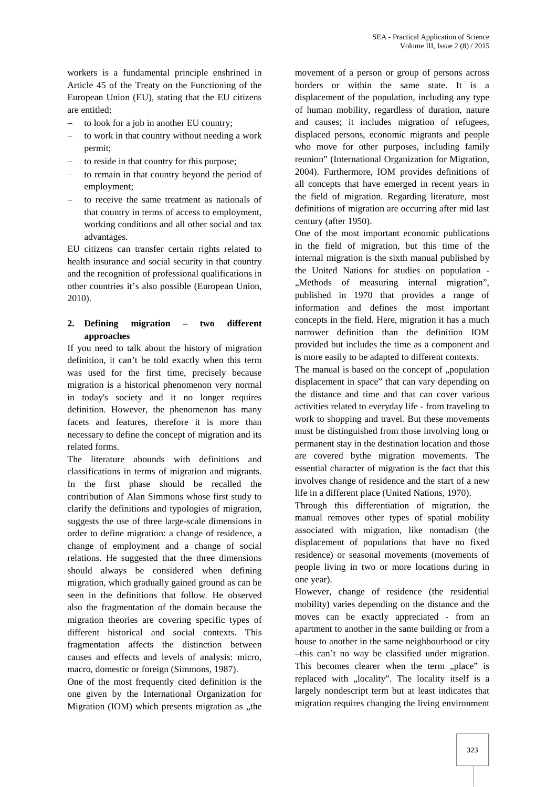workers is a fundamental principle enshrined in Article 45 of the Treaty on the Functioning of the European Union (EU), stating that the EU citizens are entitled:

- to look for a job in another EU country;
- to work in that country without needing a work permit;
- to reside in that country for this purpose;
- to remain in that country beyond the period of employment;
- to receive the same treatment as nationals of that country in terms of access to employment, working conditions and all other social and tax advantages.

EU citizens can transfer certain rights related to health insurance and social security in that country and the recognition of professional qualifications in other countries it's also possible (European Union, 2010).

# **2. Defining migration – two different approaches**

If you need to talk about the history of migration definition, it can't be told exactly when this term was used for the first time, precisely because migration is a historical phenomenon very normal in today's society and it no longer requires definition. However, the phenomenon has many facets and features, therefore it is more than necessary to define the concept of migration and its related forms.

The literature abounds with definitions and classifications in terms of migration and migrants. In the first phase should be recalled the contribution of Alan Simmons whose first study to clarify the definitions and typologies of migration, suggests the use of three large-scale dimensions in order to define migration: a change of residence, a change of employment and a change of social relations. He suggested that the three dimensions should always be considered when defining migration, which gradually gained ground as can be seen in the definitions that follow. He observed also the fragmentation of the domain because the migration theories are covering specific types of different historical and social contexts. This fragmentation affects the distinction between causes and effects and levels of analysis: micro, macro, domestic or foreign (Simmons, 1987).

One of the most frequently cited definition is the one given by the International Organization for Migration (IOM) which presents migration as "the

movement of a person or group of persons across borders or within the same state. It is a displacement of the population, including any type of human mobility, regardless of duration, nature and causes; it includes migration of refugees, displaced persons, economic migrants and people who move for other purposes, including family reunion" (International Organization for Migration, 2004). Furthermore, IOM provides definitions of all concepts that have emerged in recent years in the field of migration. Regarding literature, most definitions of migration are occurring after mid last century (after 1950).

One of the most important economic publications in the field of migration, but this time of the internal migration is the sixth manual published by the United Nations for studies on population - ...Methods of measuring internal migration", published in 1970 that provides a range of information and defines the most important concepts in the field. Here, migration it has a much narrower definition than the definition IOM provided but includes the time as a component and is more easily to be adapted to different contexts.

The manual is based on the concept of "population displacement in space" that can vary depending on the distance and time and that can cover various activities related to everyday life - from traveling to work to shopping and travel. But these movements must be distinguished from those involving long or permanent stay in the destination location and those are covered bythe migration movements. The essential character of migration is the fact that this involves change of residence and the start of a new life in a different place (United Nations, 1970).

Through this differentiation of migration, the manual removes other types of spatial mobility associated with migration, like nomadism (the displacement of populations that have no fixed residence) or seasonal movements (movements of people living in two or more locations during in one year).

However, change of residence (the residential mobility) varies depending on the distance and the moves can be exactly appreciated - from an apartment to another in the same building or from a house to another in the same neighbourhood or city –this can't no way be classified under migration. This becomes clearer when the term "place" is replaced with "locality". The locality itself is a largely nondescript term but at least indicates that migration requires changing the living environment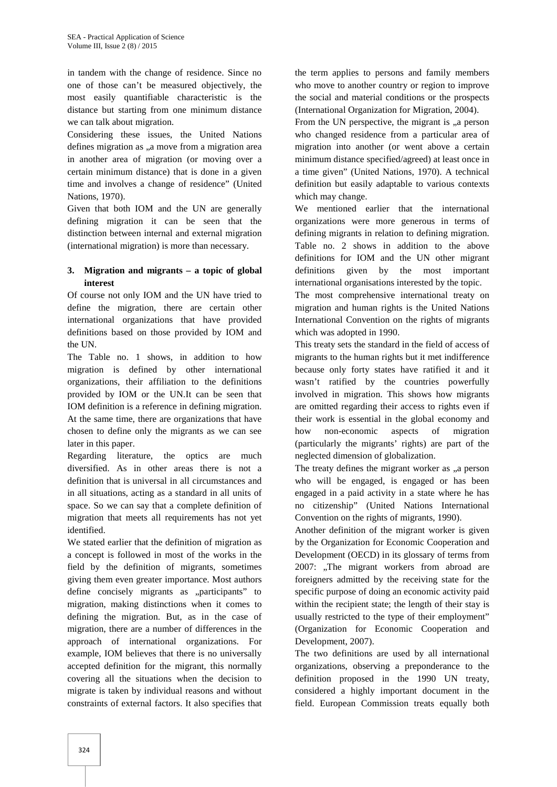in tandem with the change of residence. Since no one of those can't be measured objectively, the most easily quantifiable characteristic is the distance but starting from one minimum distance we can talk about migration.

Considering these issues, the United Nations defines migration as ,,a move from a migration area in another area of migration (or moving over a certain minimum distance) that is done in a given time and involves a change of residence" (United Nations, 1970).

Given that both IOM and the UN are generally defining migration it can be seen that the distinction between internal and external migration (international migration) is more than necessary.

# **3. Migration and migrants – a topic of global interest**

Of course not only IOM and the UN have tried to define the migration, there are certain other international organizations that have provided definitions based on those provided by IOM and the UN.

The Table no. 1 shows, in addition to how migration is defined by other international organizations, their affiliation to the definitions provided by IOM or the UN.It can be seen that IOM definition is a reference in defining migration. At the same time, there are organizations that have chosen to define only the migrants as we can see later in this paper.

Regarding literature, the optics are much diversified. As in other areas there is not a definition that is universal in all circumstances and in all situations, acting as a standard in all units of space. So we can say that a complete definition of migration that meets all requirements has not yet identified.

We stated earlier that the definition of migration as a concept is followed in most of the works in the field by the definition of migrants, sometimes giving them even greater importance. Most authors define concisely migrants as "participants" to migration, making distinctions when it comes to defining the migration. But, as in the case of migration, there are a number of differences in the approach of international organizations. For example, IOM believes that there is no universally accepted definition for the migrant, this normally covering all the situations when the decision to migrate is taken by individual reasons and without constraints of external factors. It also specifies that

the term applies to persons and family members who move to another country or region to improve the social and material conditions or the prospects (International Organization for Migration, 2004).

From the UN perspective, the migrant is "a person who changed residence from a particular area of migration into another (or went above a certain minimum distance specified/agreed) at least once in a time given" (United Nations, 1970). A technical definition but easily adaptable to various contexts which may change.

We mentioned earlier that the international organizations were more generous in terms of defining migrants in relation to defining migration. Table no. 2 shows in addition to the above definitions for IOM and the UN other migrant definitions given by the most important international organisations interested by the topic.

The most comprehensive international treaty on migration and human rights is the United Nations International Convention on the rights of migrants which was adopted in 1990.

This treaty sets the standard in the field of access of migrants to the human rights but it met indifference because only forty states have ratified it and it wasn't ratified by the countries powerfully involved in migration. This shows how migrants are omitted regarding their access to rights even if their work is essential in the global economy and how non-economic aspects of migration (particularly the migrants' rights) are part of the neglected dimension of globalization.

The treaty defines the migrant worker as "a person who will be engaged, is engaged or has been engaged in a paid activity in a state where he has no citizenship" (United Nations International Convention on the rights of migrants, 1990).

Another definition of the migrant worker is given by the Organization for Economic Cooperation and Development (OECD) in its glossary of terms from 2007: "The migrant workers from abroad are foreigners admitted by the receiving state for the specific purpose of doing an economic activity paid within the recipient state; the length of their stay is usually restricted to the type of their employment" (Organization for Economic Cooperation and Development, 2007).

The two definitions are used by all international organizations, observing a preponderance to the definition proposed in the 1990 UN treaty, considered a highly important document in the field. European Commission treats equally both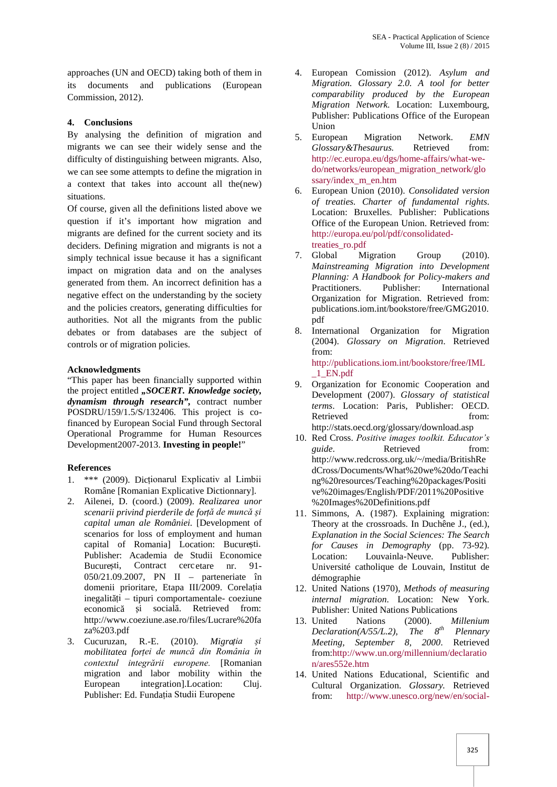approaches (UN and OECD) taking both of them in its documents and publications (European Commission, 2012).

### **4. Conclusions**

By analysing the definition of migration and 5. migrants we can see their widely sense and the difficulty of distinguishing between migrants. Also, we can see some attempts to define the migration in a context that takes into account all the(new) situations.

Of course, given all the definitions listed above we question if it's important how migration and migrants are defined for the current society and its deciders. Defining migration and migrants is not a simply technical issue because it has a significant impact on migration data and on the analyses generated from them. An incorrect definition has a negative effect on the understanding by the society and the policies creators, generating difficulties for authorities. Not all the migrants from the public debates or from databases are the subject of controls or of migration policies.

#### **Acknowledgments**

"This paper has been financially supported within the project entitled *"SOCERT. Knowledge society, dynamism through research",* contract number POSDRU/159/1.5/S/132406. This project is cofinanced by European Social Fund through Sectoral Operational Programme for Human Resources Development2007-2013. **Investing in people!**"

# **References**

- 1. \*\*\* (2009). Dicționarul Explicativ al Limbii Române [Romanian Explicative Dictionnary].
- 2. Ailenei, D. (coord.) (2009). *Realizarea unor scenarii privind pierderile de forță de muncă și capital uman ale României.* [Development of scenarios for loss of employment and human capital of Romania] Location: Bucure ti. Publisher: Academia de Studii Economice Bucure ti, Contract cercetare nr. 91-050/21.09.2007, PN II – parteneriate în domenii prioritare, Etapa III/2009. Corelația inegalit ți – tipuri comportamentale- coeziune economic i social Retrieved from: http://www.coeziune.ase.ro/files/Lucrare%20fa za%203.pdf
- 3. Cucuruzan, R.-E. (2010). *Migrația și mobilitatea forței de muncă din România în contextul integrării europene.* [Romanian migration and labor mobility within the European integration].Location: Cluj. Publisher: Ed. Fundația Studii Europene
- 4. European Comission (2012). *Asylum and Migration. Glossary 2.0. A tool for better comparability produced by the European Migration Network.* Location: Luxembourg, Publisher: Publications Office of the European Union
- European Migration Network. *EMN*<br>Glossarv&Thesaurus. Retrieved from:  $Glossary \& The saurus.$ http://ec.europa.eu/dgs/home-affairs/what-we do/networks/european\_migration\_network/glo ssary/index\_m\_en.htm
- 6. European Union (2010). *Consolidated version of treaties. Charter of fundamental rights*. Location: Bruxelles. Publisher: Publications Office of the European Union. Retrieved from: http://europa.eu/pol/pdf/consolidatedtreaties\_ro.pdf
- 7. Global Migration Group (2010). *Mainstreaming Migration into Development Planning: A Handbook for Policy-makers and* Practitioners. Publisher: International Organization for Migration. Retrieved from: publications.iom.int/bookstore/free/GMG2010. pdf
- 8. International Organization for Migration (2004). *Glossary on Migration*. Retrieved from: http://publications.iom.int/bookstore/free/IML

\_1\_EN.pdf

- 9. Organization for Economic Cooperation and Development (2007). *Glossary of statistical terms*. Location: Paris, Publisher: OECD. Retrieved from: http://stats.oecd.org/glossary/download.asp
- 10. Red Cross. *Positive images toolkit. Educator's guide*. Retrieved from: http://www.redcross.org.uk/~/media/BritishRe dCross/Documents/What%20we%20do/Teachi ng%20resources/Teaching%20packages/Positi ve%20images/English/PDF/2011%20Positive %20Images%20Definitions.pdf
- 11. Simmons, A. (1987). Explaining migration: Theory at the crossroads. In Duchêne J., (ed.), *Explanation in the Social Sciences: The Search for Causes in Demography* (pp. 73-92)*.* Location: Louvainla-Neuve. Publisher: Université catholique de Louvain, Institut de démographie
- 12. United Nations (1970), *Methods of measuring internal migration*. Location: New York. Publisher: United Nations Publications
- 13. United Nations (2000). *Millenium*<br>*Declaration(A/55/L.2). The 8<sup>th</sup> Plennary Declaration(A/55/L.2), The 8th Plennary Meeting, September 8, 2000*. Retrieved from:http://www.un.org/millennium/declaratio n/ares552e.htm
- 14. United Nations Educational, Scientific and Cultural Organization. *Glossary.* Retrieved from: http://www.unesco.org/new/en/social-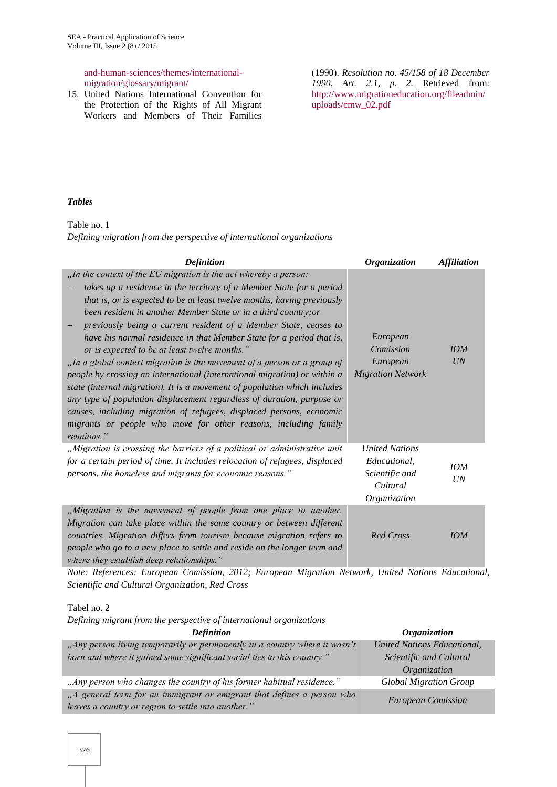#### and-human-sciences/themes/international migration/glossary/migrant/

15. United Nations International Convention for the Protection of the Rights of All Migrant Workers and Members of Their Families

(1990). *Resolution no. 45/158 of 18 December 1990, Art. 2.1, p. 2.* Retrieved from: http://www.migrationeducation.org/fileadmin/ uploads/cmw\_02.pdf

#### *Tables*

Table no. 1

*Defining migration from the perspective of international organizations*

| <b>Definition</b>                                                                                                                                                                                                                                                                                                                                                                                                                                                                                                                                                                                                                                                                                                                                                                                                                                                                                                                                            | <b>Organization</b>                                                                 | <b>Affiliation</b> |
|--------------------------------------------------------------------------------------------------------------------------------------------------------------------------------------------------------------------------------------------------------------------------------------------------------------------------------------------------------------------------------------------------------------------------------------------------------------------------------------------------------------------------------------------------------------------------------------------------------------------------------------------------------------------------------------------------------------------------------------------------------------------------------------------------------------------------------------------------------------------------------------------------------------------------------------------------------------|-------------------------------------------------------------------------------------|--------------------|
| "In the context of the EU migration is the act whereby a person:<br>takes up a residence in the territory of a Member State for a period<br>that is, or is expected to be at least twelve months, having previously<br>been resident in another Member State or in a third country; or<br>previously being a current resident of a Member State, ceases to<br>have his normal residence in that Member State for a period that is,<br>or is expected to be at least twelve months."<br>"In a global context migration is the movement of a person or a group of<br>people by crossing an international (international migration) or within a<br>state (internal migration). It is a movement of population which includes<br>any type of population displacement regardless of duration, purpose or<br>causes, including migration of refugees, displaced persons, economic<br>migrants or people who move for other reasons, including family<br>reunions." | European<br>Comission<br>European<br><b>Migration Network</b>                       | IOM<br>UN          |
| "Migration is crossing the barriers of a political or administrative unit<br>for a certain period of time. It includes relocation of refugees, displaced<br>persons, the homeless and migrants for economic reasons."                                                                                                                                                                                                                                                                                                                                                                                                                                                                                                                                                                                                                                                                                                                                        | <b>United Nations</b><br>Educational,<br>Scientific and<br>Cultural<br>Organization | <b>IOM</b><br>UN   |
| "Migration is the movement of people from one place to another.<br>Migration can take place within the same country or between different<br>countries. Migration differs from tourism because migration refers to<br>people who go to a new place to settle and reside on the longer term and<br>where they establish deep relationships."                                                                                                                                                                                                                                                                                                                                                                                                                                                                                                                                                                                                                   | <b>Red Cross</b>                                                                    | IOM                |

*Note: References: European Comission, 2012; European Migration Network, United Nations Educational, Scientific and Cultural Organization, Red Cross*

Tabel no. 2

*Defining migrant from the perspective of international organizations*

| <b>Definition</b>                                                                                                             | <i><b>Organization</b></i>         |
|-------------------------------------------------------------------------------------------------------------------------------|------------------------------------|
| "Any person living temporarily or permanently in a country where it wasn't                                                    | <b>United Nations Educational,</b> |
| born and where it gained some significant social ties to this country."                                                       | Scientific and Cultural            |
|                                                                                                                               | Organization                       |
| "Any person who changes the country of his former habitual residence."                                                        | <b>Global Migration Group</b>      |
| "A general term for an immigrant or emigrant that defines a person who<br>leaves a country or region to settle into another." | <b>European Comission</b>          |